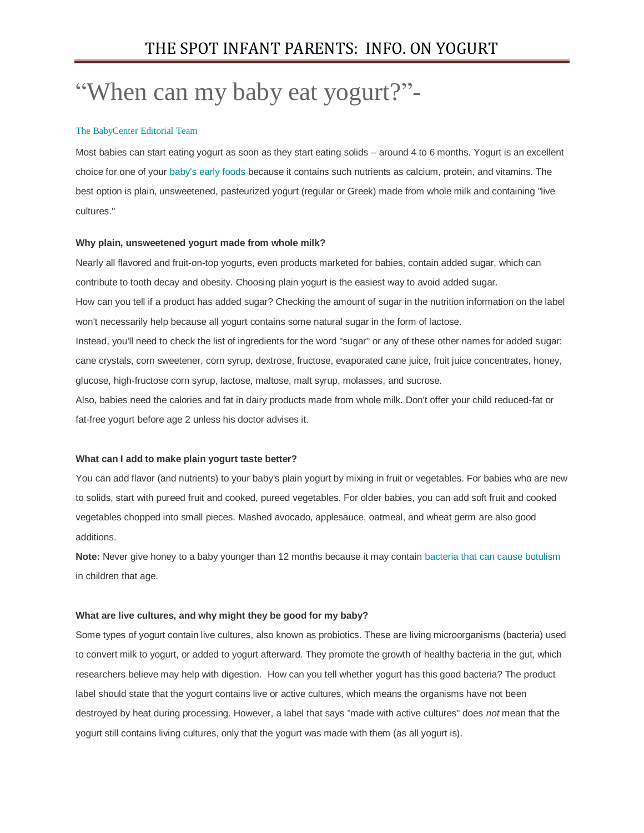# "When can my baby eat yogurt?"-

## [The BabyCenter Editorial Team](https://www.babycenter.com/viewExpertBio.htm?id=6)

Most babies can start eating yogurt as soon as they start eating solids – around 4 to 6 months. Yogurt is an excellent choice for one of your [baby's early foods](https://www.babycenter.com/0_introducing-solids_113.bc) because it contains such nutrients as calcium, protein, and vitamins. The best option is plain, unsweetened, pasteurized yogurt (regular or Greek) made from whole milk and containing "live cultures."

## **Why plain, unsweetened yogurt made from whole milk?**

Nearly all flavored and fruit-on-top yogurts, even products marketed for babies, contain added sugar, which can contribute to tooth decay and obesity. Choosing plain yogurt is the easiest way to avoid added sugar. How can you tell if a product has added sugar? Checking the amount of sugar in the nutrition information on the label won't necessarily help because all yogurt contains some natural sugar in the form of lactose. Instead, you'll need to check the list of ingredients for the word "sugar" or any of these other names for added sugar: cane crystals, corn sweetener, corn syrup, dextrose, fructose, evaporated cane juice, fruit juice concentrates, honey, glucose, high-fructose corn syrup, lactose, maltose, malt syrup, molasses, and sucrose. Also, babies need the calories and fat in dairy products made from whole milk. Don't offer your child reduced-fat or fat-free yogurt before age 2 unless his doctor advises it.

## **What can I add to make plain yogurt taste better?**

You can add flavor (and nutrients) to your baby's plain yogurt by mixing in fruit or vegetables. For babies who are new to solids, start with pureed fruit and cooked, pureed vegetables. For older babies, you can add soft fruit and cooked vegetables chopped into small pieces. Mashed avocado, applesauce, oatmeal, and wheat germ are also good additions.

**Note:** Never give honey to a baby younger than 12 months because it may contai[n bacteria that can cause botulism](https://www.babycenter.com/404_when-can-my-baby-eat-honey_1368490.bc) in children that age.

#### **What are live cultures, and why might they be good for my baby?**

Some types of yogurt contain live cultures, also known as probiotics. These are living microorganisms (bacteria) used to convert milk to yogurt, or added to yogurt afterward. They promote the growth of healthy bacteria in the gut, which researchers believe may help with digestion. How can you tell whether yogurt has this good bacteria? The product label should state that the yogurt contains live or active cultures, which means the organisms have not been destroyed by heat during processing. However, a label that says "made with active cultures" does *not* mean that the yogurt still contains living cultures, only that the yogurt was made with them (as all yogurt is).